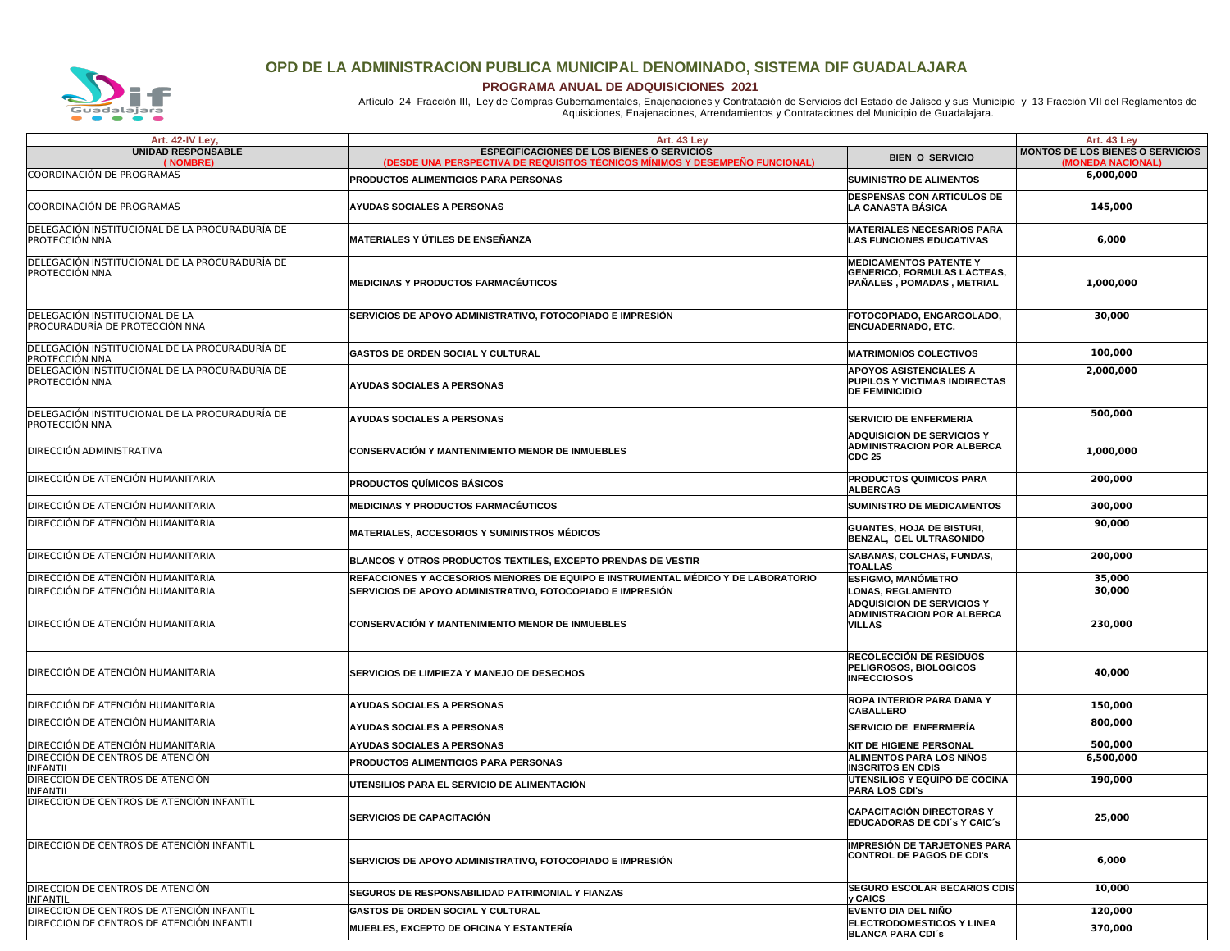

## **OPD DE LA ADMINISTRACION PUBLICA MUNICIPAL DENOMINADO, SISTEMA DIF GUADALAJARA**

 **PROGRAMA ANUAL DE ADQUISICIONES 2021**

Artículo 24 Fracción III, Ley de Compras Gubernamentales, Enajenaciones y Contratación de Servicios del Estado de Jalisco y sus Municipio y 13 Fracción VII del Reglamentos de<br>Aquisiciones, Enajenaciones, Arrendamientos y

| Art. 42-IV Ley,                                                         | Art. 43 Ley                                                                                                                       |                                                                                                                     | Art. 43 Ley                                                  |
|-------------------------------------------------------------------------|-----------------------------------------------------------------------------------------------------------------------------------|---------------------------------------------------------------------------------------------------------------------|--------------------------------------------------------------|
| UNIDAD RESPONSABLE<br>NOMBRE)                                           | <b>ESPECIFICACIONES DE LOS BIENES O SERVICIOS</b><br>(DESDE UNA PERSPECTIVA DE REQUISITOS TÉCNICOS MÍNIMOS Y DESEMPEÑO FUNCIONAL) | <b>BIEN O SERVICIO</b>                                                                                              | <b>MONTOS DE LOS BIENES O SERVICIOS</b><br>(MONEDA NACIONAL) |
| COORDINACIÓN DE PROGRAMAS                                               | PRODUCTOS ALIMENTICIOS PARA PERSONAS                                                                                              | <b>SUMINISTRO DE ALIMENTOS</b>                                                                                      | 6,000,000                                                    |
| COORDINACIÓN DE PROGRAMAS                                               | <b>AYUDAS SOCIALES A PERSONAS</b>                                                                                                 | <b>DESPENSAS CON ARTICULOS DE</b><br><b>LA CANASTA BÁSICA</b>                                                       | 145,000                                                      |
| DELEGACIÓN INSTITUCIONAL DE LA PROCURADURÍA DE<br>PROTECCIÓN NNA        | MATERIALES Y ÚTILES DE ENSEÑANZA                                                                                                  | <b>MATERIALES NECESARIOS PARA</b><br><b>LAS FUNCIONES EDUCATIVAS</b>                                                | 6,000                                                        |
| DELEGACIÓN INSTITUCIONAL DE LA PROCURADURÍA DE<br>PROTECCIÓN NNA        | <b>MEDICINAS Y PRODUCTOS FARMACÉUTICOS</b>                                                                                        | <b>MEDICAMENTOS PATENTE Y</b><br><b>GENERICO, FORMULAS LACTEAS,</b><br>PAÑALES, POMADAS, METRIAL                    | 1,000,000                                                    |
| DELEGACIÓN INSTITUCIONAL DE LA<br>PROCURADURÍA DE PROTECCIÓN NNA        | SERVICIOS DE APOYO ADMINISTRATIVO, FOTOCOPIADO E IMPRESIÓN                                                                        | FOTOCOPIADO, ENGARGOLADO,<br><b>ENCUADERNADO, ETC.</b>                                                              | 30,000                                                       |
| DELEGACIÓN INSTITUCIONAL DE LA PROCURADURÍA DE<br><b>PROTECCIÓN NNA</b> | <b>GASTOS DE ORDEN SOCIAL Y CULTURAL</b>                                                                                          | <b>MATRIMONIOS COLECTIVOS</b>                                                                                       | 100,000                                                      |
| DELEGACIÓN INSTITUCIONAL DE LA PROCURADURÍA DE<br>PROTECCIÓN NNA        | AYUDAS SOCIALES A PERSONAS                                                                                                        | <b>APOYOS ASISTENCIALES A</b><br>PUPILOS Y VICTIMAS INDIRECTAS<br><b>DE FEMINICIDIO</b>                             | 2,000,000                                                    |
| DELEGACIÓN INSTITUCIONAL DE LA PROCURADURÍA DE<br>PROTECCIÓN NNA        | AYUDAS SOCIALES A PERSONAS                                                                                                        | <b>SERVICIO DE ENFERMERIA</b>                                                                                       | 500,000                                                      |
| <b>DIRECCIÓN ADMINISTRATIVA</b>                                         | CONSERVACIÓN Y MANTENIMIENTO MENOR DE INMUEBLES                                                                                   | ADQUISICION DE SERVICIOS Y<br><b>ADMINISTRACION POR ALBERCA</b><br><b>CDC 25</b>                                    | 1,000,000                                                    |
| <b>DIRECCIÓN DE ATENCIÓN HUMANITARIA</b>                                | PRODUCTOS QUÍMICOS BÁSICOS                                                                                                        | <b>PRODUCTOS QUIMICOS PARA</b><br><b>ALBERCAS</b>                                                                   | 200,000                                                      |
| DIRECCIÓN DE ATENCIÓN HUMANITARIA                                       | MEDICINAS Y PRODUCTOS FARMACÉUTICOS                                                                                               | <b>SUMINISTRO DE MEDICAMENTOS</b>                                                                                   | 300,000                                                      |
| DIRECCIÓN DE ATENCIÓN HUMANITARIA                                       | MATERIALES, ACCESORIOS Y SUMINISTROS MÉDICOS                                                                                      | <b>GUANTES, HOJA DE BISTURI,</b><br>BENZAL, GEL ULTRASONIDO                                                         | 90,000                                                       |
| DIRECCIÓN DE ATENCIÓN HUMANITARIA                                       | <b>BLANCOS Y OTROS PRODUCTOS TEXTILES, EXCEPTO PRENDAS DE VESTIR</b>                                                              | SABANAS, COLCHAS, FUNDAS,<br><b>TOALLAS</b>                                                                         | 200,000                                                      |
| DIRECCIÓN DE ATENCIÓN HUMANITARIA<br>DIRECCIÓN DE ATENCIÓN HUMANITARIA  | REFACCIONES Y ACCESORIOS MENORES DE EQUIPO E INSTRUMENTAL MÉDICO Y DE LABORATORIO                                                 | <b>ESFIGMO, MANÓMETRO</b>                                                                                           | 35,000                                                       |
| <b>DIRECCIÓN DE ATENCIÓN HUMANITARIA</b>                                | SERVICIOS DE APOYO ADMINISTRATIVO, FOTOCOPIADO E IMPRESIÓN<br>CONSERVACIÓN Y MANTENIMIENTO MENOR DE INMUEBLES                     | <b>LONAS, REGLAMENTO</b><br><b>ADQUISICION DE SERVICIOS Y</b><br><b>ADMINISTRACION POR ALBERCA</b><br><b>VILLAS</b> | 30,000<br>230,000                                            |
| DIRECCIÓN DE ATENCIÓN HUMANITARIA                                       | <b>SERVICIOS DE LIMPIEZA Y MANEJO DE DESECHOS</b>                                                                                 | <b>RECOLECCIÓN DE RESIDUOS</b><br>PELIGROSOS, BIOLOGICOS<br><b>INFECCIOSOS</b>                                      | 40,000                                                       |
| <b>DIRECCIÓN DE ATENCIÓN HUMANITARIA</b>                                | <b>AYUDAS SOCIALES A PERSONAS</b>                                                                                                 | <b>ROPA INTERIOR PARA DAMA Y</b><br><b>CABALLERO</b>                                                                | 150,000                                                      |
| DIRECCIÓN DE ATENCIÓN HUMANITARIA                                       | AYUDAS SOCIALES A PERSONAS                                                                                                        | <b>SERVICIO DE ENFERMERÍA</b>                                                                                       | 800,000                                                      |
| DIRECCIÓN DE ATENCIÓN HUMANITARIA                                       | AYUDAS SOCIALES A PERSONAS                                                                                                        | <b>KIT DE HIGIENE PERSONAL</b>                                                                                      | 500,000                                                      |
| DIRECCIÓN DE CENTROS DE ATENCIÓN<br><b>INFANTIL</b>                     | PRODUCTOS ALIMENTICIOS PARA PERSONAS                                                                                              | ALIMENTOS PARA LOS NIÑOS<br><b>INSCRITOS EN CDIS</b>                                                                | 6,500,000                                                    |
| DIRECCION DE CENTROS DE ATENCIÓN<br>INFANTIL                            | UTENSILIOS PARA EL SERVICIO DE ALIMENTACIÓN                                                                                       | UTENSILIOS Y EQUIPO DE COCINA<br><b>PARA LOS CDI's</b>                                                              | 190,000                                                      |
| DIRECCION DE CENTROS DE ATENCIÓN INFANTIL                               | <b>SERVICIOS DE CAPACITACIÓN</b>                                                                                                  | CAPACITACIÓN DIRECTORAS Y<br>EDUCADORAS DE CDI'S Y CAIC'S                                                           | 25,000                                                       |
| DIRECCION DE CENTROS DE ATENCIÓN INFANTIL                               | SERVICIOS DE APOYO ADMINISTRATIVO, FOTOCOPIADO E IMPRESIÓN                                                                        | <b>IMPRESIÓN DE TARJETONES PARA</b><br><b>CONTROL DE PAGOS DE CDI'S</b>                                             | 6,000                                                        |
| DIRECCION DE CENTROS DE ATENCIÓN<br>INFANTII                            | SEGUROS DE RESPONSABILIDAD PATRIMONIAL Y FIANZAS                                                                                  | <b>SEGURO ESCOLAR BECARIOS CDIS</b><br>y CAICS                                                                      | 10,000                                                       |
| DIRECCION DE CENTROS DE ATENCIÓN INFANTIL                               | <b>GASTOS DE ORDEN SOCIAL Y CULTURAL</b>                                                                                          | <b>EVENTO DIA DEL NIÑO</b>                                                                                          | 120,000                                                      |
| DIRECCION DE CENTROS DE ATENCIÓN INFANTIL                               | MUEBLES, EXCEPTO DE OFICINA Y ESTANTERÍA                                                                                          | <b>ELECTRODOMESTICOS Y LINEA</b><br><b>RI ANCA PARA CDI'S</b>                                                       | 370,000                                                      |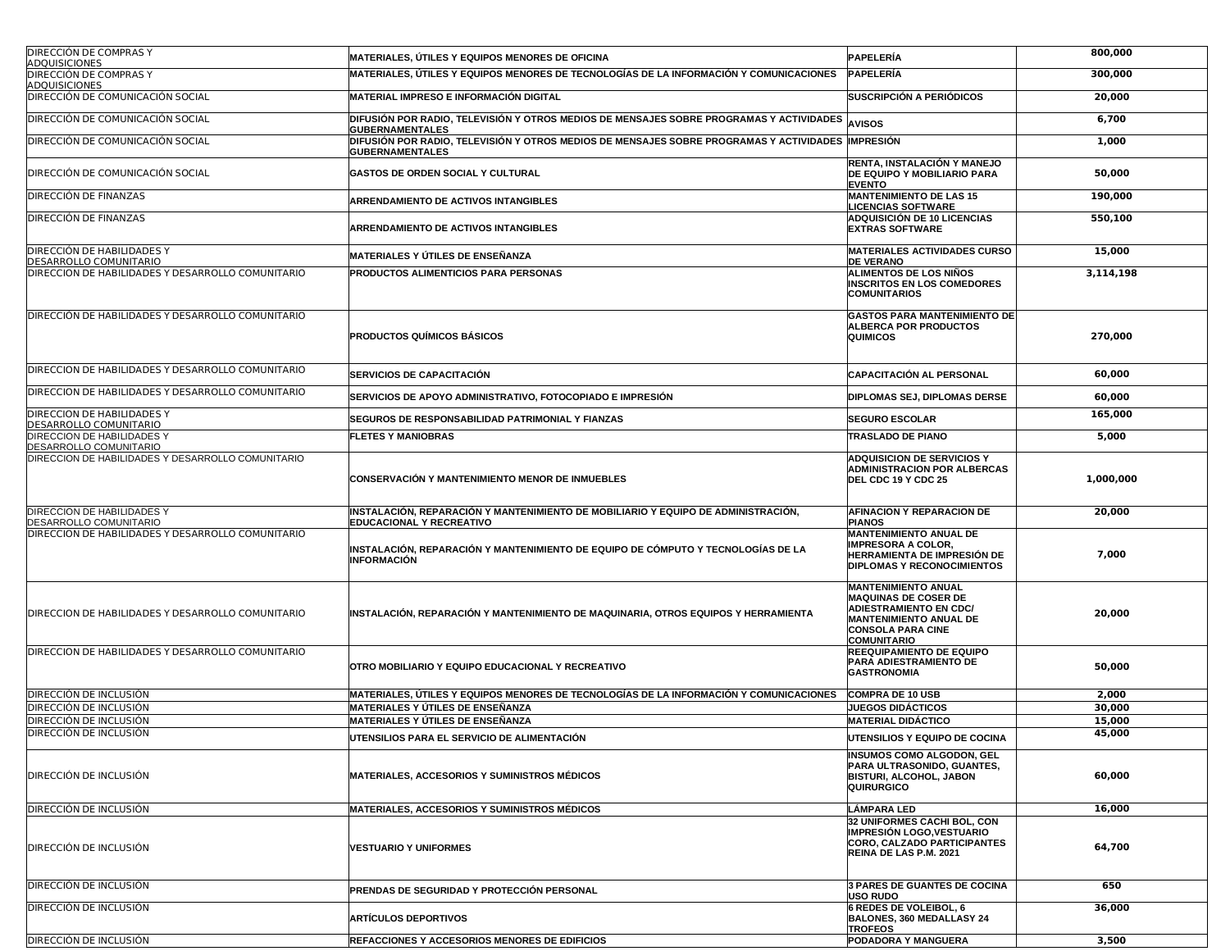| <b>DIRECCIÓN DE COMPRAS Y</b><br><b>ADQUISICIONES</b> | <b>MATERIALES, ÚTILES Y EQUIPOS MENORES DE OFICINA</b>                                                                      | PAPELERÍA                                                                                                                                                                     | 800,000          |
|-------------------------------------------------------|-----------------------------------------------------------------------------------------------------------------------------|-------------------------------------------------------------------------------------------------------------------------------------------------------------------------------|------------------|
| DIRECCIÓN DE COMPRAS Y<br>ADQUISICIONES               | MATERIALES, ÚTILES Y EQUIPOS MENORES DE TECNOLOGÍAS DE LA INFORMACIÓN Y COMUNICACIONES                                      | PAPELERÍA                                                                                                                                                                     | 300,000          |
| DIRECCIÓN DE COMUNICACIÓN SOCIAL                      | MATERIAL IMPRESO E INFORMACIÓN DIGITAL                                                                                      | SUSCRIPCIÓN A PERIÓDICOS                                                                                                                                                      | 20,000           |
| DIRECCIÓN DE COMUNICACIÓN SOCIAL                      | DIFUSIÓN POR RADIO, TELEVISIÓN Y OTROS MEDIOS DE MENSAJES SOBRE PROGRAMAS Y ACTIVIDADES<br><b>GUBERNAMENTALES</b>           | <b>AVISOS</b>                                                                                                                                                                 | 6,700            |
| DIRECCIÓN DE COMUNICACIÓN SOCIAL                      | DIFUSIÓN POR RADIO, TELEVISIÓN Y OTROS MEDIOS DE MENSAJES SOBRE PROGRAMAS Y ACTIVIDADES IMPRESIÓN<br><b>GUBERNAMENTALES</b> |                                                                                                                                                                               | 1,000            |
| DIRECCIÓN DE COMUNICACIÓN SOCIAL                      | GASTOS DE ORDEN SOCIAL Y CULTURAL                                                                                           | RENTA, INSTALACIÓN Y MANEJO<br>DE EQUIPO Y MOBILIARIO PARA<br><b>EVENTO</b>                                                                                                   | 50,000           |
| DIRECCIÓN DE FINANZAS                                 | ARRENDAMIENTO DE ACTIVOS INTANGIBLES                                                                                        | <b>MANTENIMIENTO DE LAS 15</b><br><b>LICENCIAS SOFTWARE</b>                                                                                                                   | 190,000          |
| DIRECCIÓN DE FINANZAS                                 | ARRENDAMIENTO DE ACTIVOS INTANGIBLES                                                                                        | <b>ADQUISICIÓN DE 10 LICENCIAS</b><br><b>EXTRAS SOFTWARE</b>                                                                                                                  | 550,100          |
| DIRECCIÓN DE HABILIDADES Y<br>DESARROLLO COMUNITARIO  | MATERIALES Y ÚTILES DE ENSEÑANZA                                                                                            | <b>MATERIALES ACTIVIDADES CURSO</b><br><b>DE VERANO</b>                                                                                                                       | 15,000           |
| DIRECCION DE HABILIDADES Y DESARROLLO COMUNITARIO     | PRODUCTOS ALIMENTICIOS PARA PERSONAS                                                                                        | ALIMENTOS DE LOS NIÑOS<br><b>INSCRITOS EN LOS COMEDORES</b><br><b>COMUNITARIOS</b>                                                                                            | 3,114,198        |
| DIRECCIÓN DE HABILIDADES Y DESARROLLO COMUNITARIO     | <b>PRODUCTOS QUÍMICOS BÁSICOS</b>                                                                                           | <b>GASTOS PARA MANTENIMIENTO DE</b><br><b>ALBERCA POR PRODUCTOS</b><br><b>QUIMICOS</b>                                                                                        | 270,000          |
| DIRECCION DE HABILIDADES Y DESARROLLO COMUNITARIO     | <b>SERVICIOS DE CAPACITACIÓN</b>                                                                                            | <b>CAPACITACIÓN AL PERSONAL</b>                                                                                                                                               | 60,000           |
| DIRECCION DE HABILIDADES Y DESARROLLO COMUNITARIO     | SERVICIOS DE APOYO ADMINISTRATIVO, FOTOCOPIADO E IMPRESIÓN                                                                  | DIPLOMAS SEJ, DIPLOMAS DERSE                                                                                                                                                  | 60,000           |
| DIRECCION DE HABILIDADES Y<br>DESARROLLO COMUNITARIO  | <b>SEGUROS DE RESPONSABILIDAD PATRIMONIAL Y FIANZAS</b>                                                                     | <b>SEGURO ESCOLAR</b>                                                                                                                                                         | 165,000          |
| DIRECCION DE HABILIDADES Y<br>DESARROLLO COMUNITARIO  | <b>FLETES Y MANIOBRAS</b>                                                                                                   | <b>TRASLADO DE PIANO</b>                                                                                                                                                      | 5,000            |
| DIRECCION DE HABILIDADES Y DESARROLLO COMUNITARIO     | CONSERVACIÓN Y MANTENIMIENTO MENOR DE INMUEBLES                                                                             | ADQUISICION DE SERVICIOS Y<br><b>ADMINISTRACION POR ALBERCAS</b><br>DEL CDC 19 Y CDC 25                                                                                       | 1,000,000        |
| DIRECCION DE HABILIDADES Y<br>DESARROLLO COMUNITARIO  | INSTALACIÓN, REPARACIÓN Y MANTENIMIENTO DE MOBILIARIO Y EQUIPO DE ADMINISTRACIÓN,<br>EDUCACIONAL Y RECREATIVO               | AFINACION Y REPARACION DE<br><b>PIANOS</b>                                                                                                                                    | 20,000           |
| DIRECCION DE HABILIDADES Y DESARROLLO COMUNITARIO     | INSTALACIÓN, REPARACIÓN Y MANTENIMIENTO DE EQUIPO DE CÓMPUTO Y TECNOLOGÍAS DE LA<br>INFORMACIÓN                             | <b>MANTENIMIENTO ANUAL DE</b><br><b>IMPRESORA A COLOR,</b><br>HERRAMIENTA DE IMPRESIÓN DE<br><b>DIPLOMAS Y RECONOCIMIENTOS</b>                                                | 7,000            |
| DIRECCION DE HABILIDADES Y DESARROLLO COMUNITARIO     | INSTALACIÓN, REPARACIÓN Y MANTENIMIENTO DE MAQUINARIA, OTROS EQUIPOS Y HERRAMIENTA                                          | <b>MANTENIMIENTO ANUAL</b><br><b>MAQUINAS DE COSER DE</b><br><b>ADIESTRAMIENTO EN CDC/</b><br><b>MANTENIMIENTO ANUAL DE</b><br><b>CONSOLA PARA CINE</b><br><b>COMUNITARIO</b> | 20,000           |
| DIRECCION DE HABILIDADES Y DESARROLLO COMUNITARIO     | OTRO MOBILIARIO Y EQUIPO EDUCACIONAL Y RECREATIVO                                                                           | REEQUIPAMIENTO DE EQUIPO<br>PARA ADIESTRAMIENTO DE<br><b>GASTRONOMIA</b>                                                                                                      | 50,000           |
| DIRECCIÓN DE INCLUSIÓN                                | MATERIALES, ÚTILES Y EQUIPOS MENORES DE TECNOLOGÍAS DE LA INFORMACIÓN Y COMUNICACIONES                                      | <b>COMPRA DE 10 USB</b>                                                                                                                                                       | 2,000            |
| DIRECCIÓN DE INCLUSIÓN<br>DIRECCIÓN DE INCLUSIÓN      | MATERIALES Y ÚTILES DE ENSEÑANZA                                                                                            | <b>JUEGOS DIDÁCTICOS</b>                                                                                                                                                      | 30,000           |
| DIRECCIÓN DE INCLUSIÓN                                | MATERIALES Y ÚTILES DE ENSEÑANZA                                                                                            | <b>MATERIAL DIDACTICO</b>                                                                                                                                                     | 15,000<br>45,000 |
|                                                       | JTENSILIOS PARA EL SERVICIO DE ALIMENTACIÓN                                                                                 | UTENSILIOS Y EQUIPO DE COCINA                                                                                                                                                 |                  |
| DIRECCIÓN DE INCLUSIÓN                                | <b>MATERIALES, ACCESORIOS Y SUMINISTROS MÉDICOS</b>                                                                         | <b>INSUMOS COMO ALGODON, GEL</b><br>PARA ULTRASONIDO, GUANTES,<br>BISTURI, ALCOHOL, JABON<br><b>QUIRURGICO</b>                                                                | 60,000           |
| DIRECCIÓN DE INCLUSIÓN                                | <b>MATERIALES, ACCESORIOS Y SUMINISTROS MÉDICOS</b>                                                                         | LÁMPARA LED                                                                                                                                                                   | 16,000           |
| DIRECCIÓN DE INCLUSIÓN                                | <b>VESTUARIO Y UNIFORMES</b>                                                                                                | 32 UNIFORMES CACHI BOL, CON<br>IMPRESIÓN LOGO.VESTUARIO<br>CORO, CALZADO PARTICIPANTES<br>REINA DE LAS P.M. 2021                                                              | 64,700           |
| DIRECCIÓN DE INCLUSIÓN                                | PRENDAS DE SEGURIDAD Y PROTECCIÓN PERSONAL                                                                                  | 3 PARES DE GUANTES DE COCINA<br><b>USO RUDO</b>                                                                                                                               | 650              |
| DIRECCIÓN DE INCLUSIÓN                                | <b>ARTÍCULOS DEPORTIVOS</b>                                                                                                 | 6 REDES DE VOLEIBOL, 6<br>BALONES, 360 MEDALLASY 24<br><b>TROFEOS</b>                                                                                                         | 36,000           |
| DIRECCIÓN DE INCLUSIÓN                                | REFACCIONES Y ACCESORIOS MENORES DE EDIFICIOS                                                                               | PODADORA Y MANGUERA                                                                                                                                                           | 3,500            |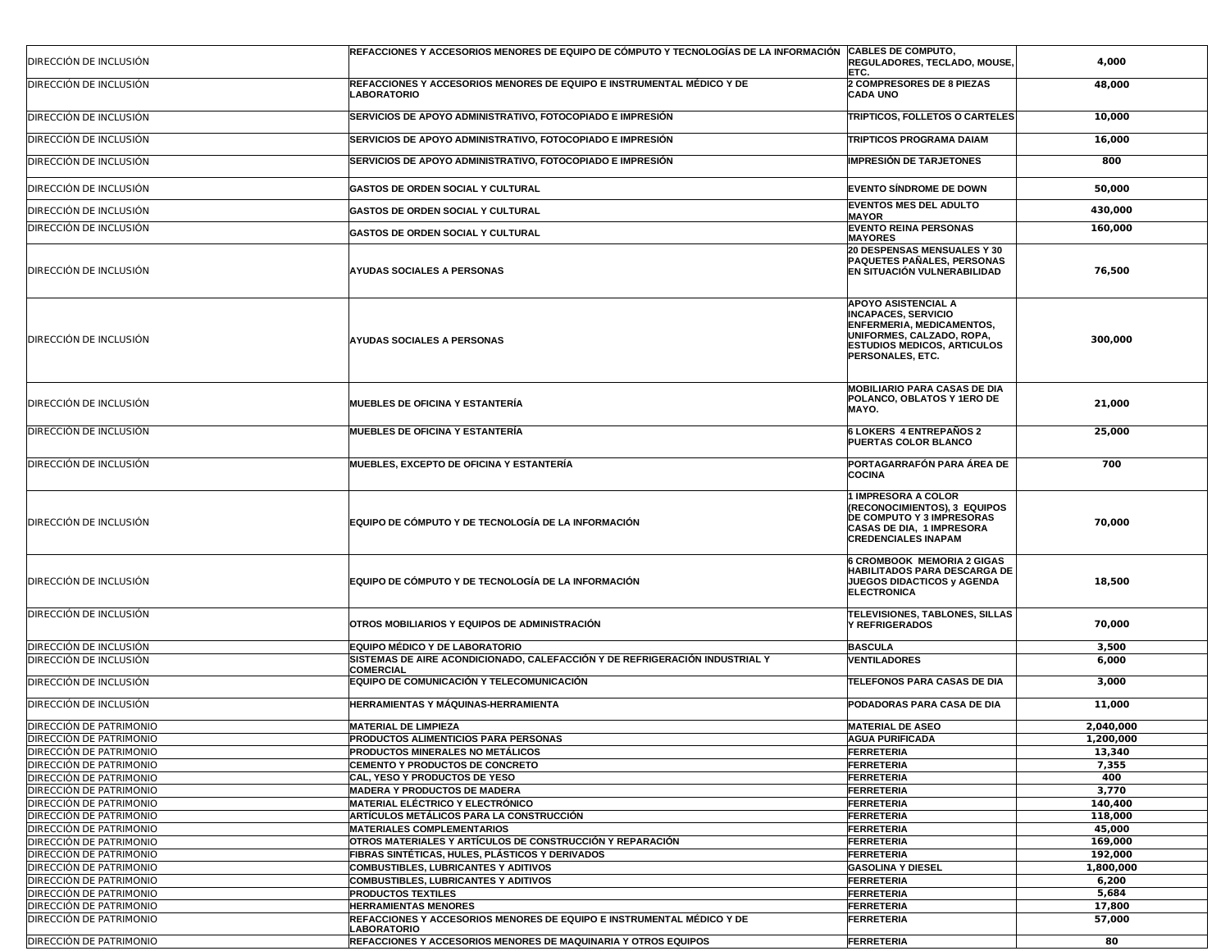|                                | REFACCIONES Y ACCESORIOS MENORES DE EQUIPO DE CÓMPUTO Y TECNOLOGÍAS DE LA INFORMACIÓN  CABLES DE COMPUTO, |                                                                                                                                                                       |           |
|--------------------------------|-----------------------------------------------------------------------------------------------------------|-----------------------------------------------------------------------------------------------------------------------------------------------------------------------|-----------|
| DIRECCIÓN DE INCLUSIÓN         |                                                                                                           | REGULADORES, TECLADO, MOUSE,<br>ETC.                                                                                                                                  | 4,000     |
| DIRECCIÓN DE INCLUSIÓN         | REFACCIONES Y ACCESORIOS MENORES DE EQUIPO E INSTRUMENTAL MÉDICO Y DE<br><b>LABORATORIO</b>               | 2 COMPRESORES DE 8 PIEZAS<br><b>CADA UNO</b>                                                                                                                          | 48,000    |
| DIRECCIÓN DE INCLUSIÓN         | SERVICIOS DE APOYO ADMINISTRATIVO, FOTOCOPIADO E IMPRESIÓN                                                | <b>TRIPTICOS, FOLLETOS O CARTELES</b>                                                                                                                                 | 10,000    |
| DIRECCIÓN DE INCLUSIÓN         | SERVICIOS DE APOYO ADMINISTRATIVO, FOTOCOPIADO E IMPRESIÓN                                                | TRIPTICOS PROGRAMA DAIAM                                                                                                                                              | 16,000    |
| DIRECCIÓN DE INCLUSIÓN         | SERVICIOS DE APOYO ADMINISTRATIVO, FOTOCOPIADO E IMPRESIÓN                                                | <b>IMPRESIÓN DE TARJETONES</b>                                                                                                                                        | 800       |
| DIRECCIÓN DE INCLUSIÓN         | GASTOS DE ORDEN SOCIAL Y CULTURAL                                                                         | <b>EVENTO SÍNDROME DE DOWN</b>                                                                                                                                        | 50,000    |
| DIRECCIÓN DE INCLUSIÓN         | <b>GASTOS DE ORDEN SOCIAL Y CULTURAL</b>                                                                  | <b>EVENTOS MES DEL ADULTO</b><br><b>MAYOR</b>                                                                                                                         | 430,000   |
| DIRECCIÓN DE INCLUSIÓN         | GASTOS DE ORDEN SOCIAL Y CULTURAL                                                                         | <b>EVENTO REINA PERSONAS</b><br><b>MAYORES</b>                                                                                                                        | 160,000   |
| DIRECCIÓN DE INCLUSIÓN         | <b>AYUDAS SOCIALES A PERSONAS</b>                                                                         | 20 DESPENSAS MENSUALES Y 30<br>PAQUETES PAÑALES, PERSONAS<br>EN SITUACIÓN VULNERABILIDAD                                                                              | 76,500    |
| DIRECCIÓN DE INCLUSIÓN         | <b>AYUDAS SOCIALES A PERSONAS</b>                                                                         | APOYO ASISTENCIAL A<br><b>INCAPACES, SERVICIO</b><br>ENFERMERIA, MEDICAMENTOS,<br>UNIFORMES, CALZADO, ROPA,<br><b>ESTUDIOS MEDICOS, ARTICULOS</b><br>PERSONALES, ETC. | 300,000   |
| DIRECCIÓN DE INCLUSIÓN         | <b>MUEBLES DE OFICINA Y ESTANTERÍA</b>                                                                    | <b>MOBILIARIO PARA CASAS DE DIA</b><br>POLANCO, OBLATOS Y 1ERO DE<br>MAYO.                                                                                            | 21,000    |
| DIRECCIÓN DE INCLUSIÓN         | <b>MUEBLES DE OFICINA Y ESTANTERÍA</b>                                                                    | 6 LOKERS 4 ENTREPAÑOS 2<br>PUERTAS COLOR BLANCO                                                                                                                       | 25,000    |
| DIRECCIÓN DE INCLUSIÓN         | <b>MUEBLES. EXCEPTO DE OFICINA Y ESTANTERÍA</b>                                                           | PORTAGARRAFÓN PARA ÁREA DE<br><b>COCINA</b>                                                                                                                           | 700       |
| DIRECCIÓN DE INCLUSIÓN         | EQUIPO DE CÓMPUTO Y DE TECNOLOGÍA DE LA INFORMACIÓN                                                       | <b>1 IMPRESORA A COLOR</b><br>(RECONOCIMIENTOS), 3 EQUIPOS<br><b>DE COMPUTO Y 3 IMPRESORAS</b><br>CASAS DE DIA, 1 IMPRESORA<br><b>CREDENCIALES INAPAM</b>             | 70,000    |
| DIRECCIÓN DE INCLUSIÓN         | EQUIPO DE CÓMPUTO Y DE TECNOLOGÍA DE LA INFORMACIÓN                                                       | <b>6 CROMBOOK MEMORIA 2 GIGAS</b><br><b>HABILITADOS PARA DESCARGA DE</b><br>JUEGOS DIDACTICOS y AGENDA<br><b>ELECTRONICA</b>                                          | 18,500    |
| DIRECCIÓN DE INCLUSIÓN         | OTROS MOBILIARIOS Y EQUIPOS DE ADMINISTRACIÓN                                                             | TELEVISIONES, TABLONES, SILLAS<br><b>Y REFRIGERADOS</b>                                                                                                               | 70,000    |
| DIRECCIÓN DE INCLUSIÓN         | EQUIPO MÉDICO Y DE LABORATORIO                                                                            | <b>BASCULA</b>                                                                                                                                                        | 3,500     |
| DIRECCIÓN DE INCLUSIÓN         | SISTEMAS DE AIRE ACONDICIONADO, CALEFACCIÓN Y DE REFRIGERACIÓN INDUSTRIAL Y<br><b>COMERCIAL</b>           | <b>VENTILADORES</b>                                                                                                                                                   | 6,000     |
| DIRECCIÓN DE INCLUSIÓN         | EQUIPO DE COMUNICACIÓN Y TELECOMUNICACIÓN                                                                 | TELEFONOS PARA CASAS DE DIA                                                                                                                                           | 3,000     |
| DIRECCIÓN DE INCLUSIÓN         | HERRAMIENTAS Y MÁQUINAS-HERRAMIENTA                                                                       | PODADORAS PARA CASA DE DIA                                                                                                                                            | 11,000    |
| DIRECCIÓN DE PATRIMONIO        | <b>MATERIAL DE LIMPIEZA</b>                                                                               | <b>MATERIAL DE ASEO</b>                                                                                                                                               | 2,040,000 |
| DIRECCIÓN DE PATRIMONIO        | PRODUCTOS ALIMENTICIOS PARA PERSONAS                                                                      | <b>AGUA PURIFICADA</b>                                                                                                                                                | 1,200,000 |
| <b>DIRECCIÓN DE PATRIMONIO</b> | <b>PRODUCTOS MINERALES NO METÁLICOS</b>                                                                   | <b>FERRETERIA</b>                                                                                                                                                     | 13,340    |
| DIRECCIÓN DE PATRIMONIO        | <b>CEMENTO Y PRODUCTOS DE CONCRETO</b>                                                                    | <b>FERRETERIA</b>                                                                                                                                                     | 7,355     |
| DIRECCIÓN DE PATRIMONIO        | CAL, YESO Y PRODUCTOS DE YESO                                                                             | <b>FERRETERIA</b>                                                                                                                                                     | 400       |
| DIRECCIÓN DE PATRIMONIO        | <b>MADERA Y PRODUCTOS DE MADERA</b>                                                                       | <b>FERRETERIA</b>                                                                                                                                                     | 3,770     |
| DIRECCIÓN DE PATRIMONIO        | <b>MATERIAL ELÉCTRICO Y ELECTRÓNICO</b>                                                                   | <b>FERRETERIA</b>                                                                                                                                                     | 140,400   |
| DIRECCIÓN DE PATRIMONIO        | <b>ARTÍCULOS METÁLICOS PARA LA CONSTRUCCIÓN</b>                                                           | <b>FERRETERIA</b>                                                                                                                                                     | 118,000   |
| DIRECCIÓN DE PATRIMONIO        | <b>MATERIALES COMPLEMENTARIOS</b>                                                                         | <b>FERRETERIA</b>                                                                                                                                                     | 45,000    |
| DIRECCIÓN DE PATRIMONIO        | OTROS MATERIALES Y ARTÍCULOS DE CONSTRUCCIÓN Y REPARACIÓN                                                 | <b>FERRETERIA</b>                                                                                                                                                     | 169,000   |
| DIRECCIÓN DE PATRIMONIO        | FIBRAS SINTÉTICAS, HULES, PLÁSTICOS Y DERIVADOS                                                           | <b>FERRETERIA</b>                                                                                                                                                     | 192.000   |
| DIRECCIÓN DE PATRIMONIO        | COMBUSTIBLES, LUBRICANTES Y ADITIVOS                                                                      | <b>GASOLINA Y DIESEL</b>                                                                                                                                              | 1,800,000 |
| DIRECCIÓN DE PATRIMONIO        | COMBUSTIBLES, LUBRICANTES Y ADITIVOS                                                                      | <b>FERRETERIA</b>                                                                                                                                                     | 6,200     |
| DIRECCIÓN DE PATRIMONIO        | <b>PRODUCTOS TEXTILES</b>                                                                                 | <b>FERRETERIA</b>                                                                                                                                                     | 5,684     |
| DIRECCIÓN DE PATRIMONIO        | <b>HERRAMIENTAS MENORES</b>                                                                               | <b>FERRETERIA</b>                                                                                                                                                     | 17,800    |
| DIRECCIÓN DE PATRIMONIO        | REFACCIONES Y ACCESORIOS MENORES DE EQUIPO E INSTRUMENTAL MÉDICO Y DE<br><b>LABORATORIO</b>               | <b>FERRETERIA</b>                                                                                                                                                     | 57,000    |
| DIRECCIÓN DE PATRIMONIO        | REFACCIONES Y ACCESORIOS MENORES DE MAQUINARIA Y OTROS EQUIPOS                                            | <b>FERRETERIA</b>                                                                                                                                                     | 80        |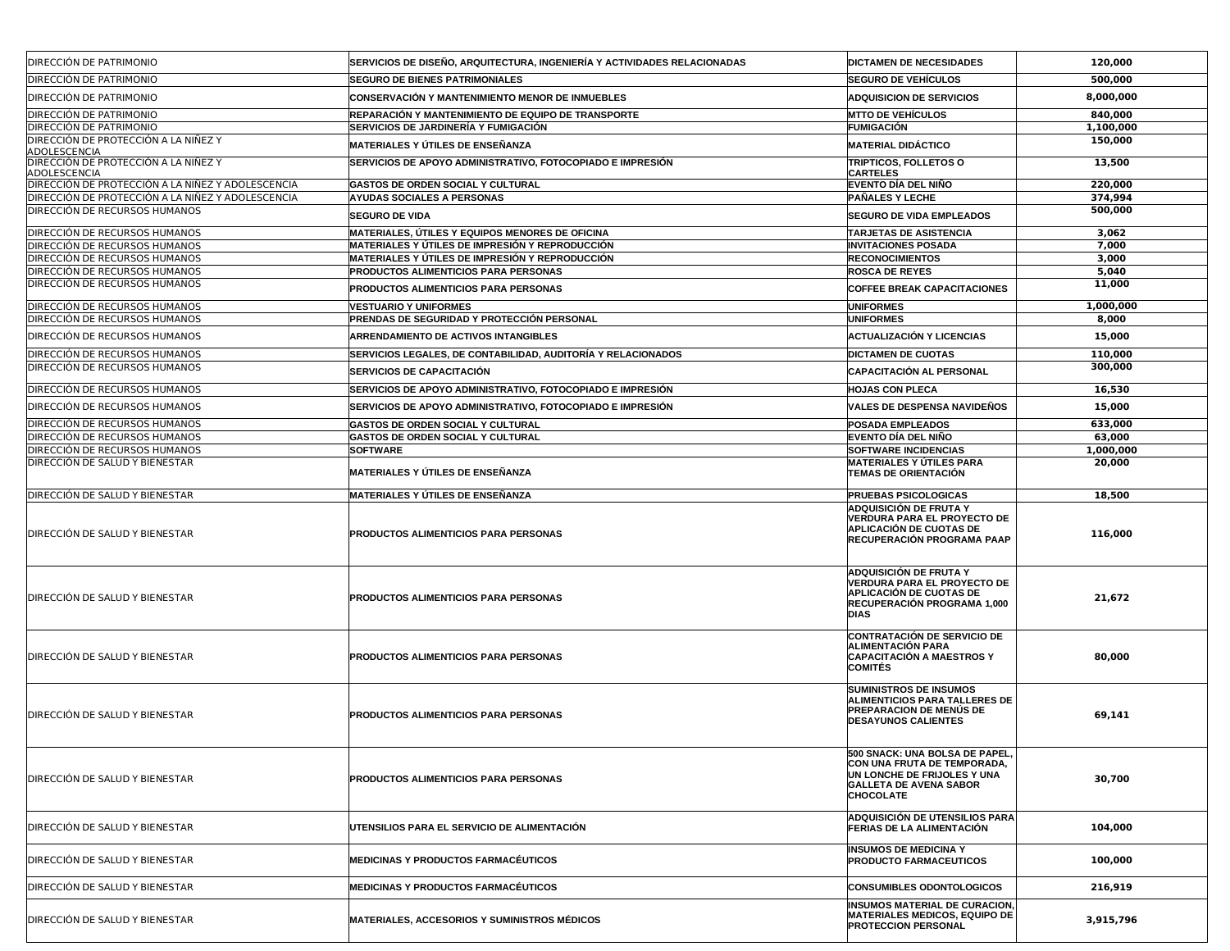| DIRECCIÓN DE PATRIMONIO                              | SERVICIOS DE DISEÑO, ARQUITECTURA, INGENIERÍA Y ACTIVIDADES RELACIONADAS | <b>DICTAMEN DE NECESIDADES</b>                                                                                                                           | 120,000   |
|------------------------------------------------------|--------------------------------------------------------------------------|----------------------------------------------------------------------------------------------------------------------------------------------------------|-----------|
| <b>DIRECCIÓN DE PATRIMONIO</b>                       | <b>SEGURO DE BIENES PATRIMONIALES</b>                                    | <b>SEGURO DE VEHÍCULOS</b>                                                                                                                               | 500,000   |
| <b>DIRECCIÓN DE PATRIMONIO</b>                       | <b>CONSERVACIÓN Y MANTENIMIENTO MENOR DE INMUEBLES</b>                   | <b>ADQUISICION DE SERVICIOS</b>                                                                                                                          | 8,000,000 |
| <b>DIRECCIÓN DE PATRIMONIO</b>                       | REPARACIÓN Y MANTENIMIENTO DE EQUIPO DE TRANSPORTE                       | <b>MTTO DE VEHÍCULOS</b>                                                                                                                                 | 840,000   |
| <b>DIRECCIÓN DE PATRIMONIO</b>                       | SERVICIOS DE JARDINERÍA Y FUMIGACIÓN                                     | <b>FUMIGACIÓN</b>                                                                                                                                        | 1,100,000 |
| DIRECCIÓN DE PROTECCIÓN A LA NIÑEZ Y<br>ADOLESCENCIA | MATERIALES Y ÚTILES DE ENSEÑANZA                                         | <b>MATERIAL DIDÁCTICO</b>                                                                                                                                | 150,000   |
| DIRECCIÓN DE PROTECCIÓN A LA NIÑEZ Y<br>ADOLESCENCIA | SERVICIOS DE APOYO ADMINISTRATIVO, FOTOCOPIADO E IMPRESIÓN               | <b>TRIPTICOS, FOLLETOS O</b><br><b>CARTELES</b>                                                                                                          | 13,500    |
| DIRECCIÓN DE PROTECCIÓN A LA NIÑEZ Y ADOLESCENCIA    | GASTOS DE ORDEN SOCIAL Y CULTURAL                                        | <b>EVENTO DÍA DEL NIÑO</b>                                                                                                                               | 220,000   |
| DIRECCIÓN DE PROTECCIÓN A LA NIÑEZ Y ADOLESCENCIA    | <b>AYUDAS SOCIALES A PERSONAS</b>                                        | <b>PAÑALES Y LECHE</b>                                                                                                                                   | 374,994   |
| <b>DIRECCIÓN DE RECURSOS HUMANOS</b>                 | <b>SEGURO DE VIDA</b>                                                    | <b>SEGURO DE VIDA EMPLEADOS</b>                                                                                                                          | 500,000   |
| <b>DIRECCIÓN DE RECURSOS HUMANOS</b>                 | MATERIALES, ÚTILES Y EQUIPOS MENORES DE OFICINA                          | <b>TARJETAS DE ASISTENCIA</b>                                                                                                                            | 3,062     |
| <b>DIRECCIÓN DE RECURSOS HUMANOS</b>                 | MATERIALES Y ÚTILES DE IMPRESIÓN Y REPRODUCCIÓN                          | <b>INVITACIONES POSADA</b>                                                                                                                               | 7,000     |
| <b>DIRECCIÓN DE RECURSOS HUMANOS</b>                 | MATERIALES Y ÚTILES DE IMPRESIÓN Y REPRODUCCIÓN                          | <b>RECONOCIMIENTOS</b>                                                                                                                                   | 3,000     |
| <b>DIRECCIÓN DE RECURSOS HUMANOS</b>                 | <b>PRODUCTOS ALIMENTICIOS PARA PERSONAS</b>                              | <b>ROSCA DE REYES</b>                                                                                                                                    | 5,040     |
| <b>IDIRECCIÓN DE RECURSOS HUMANOS</b>                | PRODUCTOS ALIMENTICIOS PARA PERSONAS                                     | <b>COFFEE BREAK CAPACITACIONES</b>                                                                                                                       | 11,000    |
| <b>DIRECCIÓN DE RECURSOS HUMANOS</b>                 | <b>VESTUARIO Y UNIFORMES</b>                                             | <b>UNIFORMES</b>                                                                                                                                         | 1,000,000 |
| DIRECCIÓN DE RECURSOS HUMANOS                        | <b>PRENDAS DE SEGURIDAD Y PROTECCIÓN PERSONAL</b>                        | <b>UNIFORMES</b>                                                                                                                                         | 8,000     |
| <b>DIRECCIÓN DE RECURSOS HUMANOS</b>                 | ARRENDAMIENTO DE ACTIVOS INTANGIBLES                                     | <b>ACTUALIZACIÓN Y LICENCIAS</b>                                                                                                                         | 15,000    |
| <b>DIRECCIÓN DE RECURSOS HUMANOS</b>                 | <b>SERVICIOS LEGALES, DE CONTABILIDAD, AUDITORÍA Y RELACIONADOS</b>      | <b>DICTAMEN DE CUOTAS</b>                                                                                                                                | 110,000   |
| DIRECCIÓN DE RECURSOS HUMANOS                        | <b>SERVICIOS DE CAPACITACIÓN</b>                                         | <b>CAPACITACIÓN AL PERSONAL</b>                                                                                                                          | 300,000   |
| <b>DIRECCIÓN DE RECURSOS HUMANOS</b>                 | SERVICIOS DE APOYO ADMINISTRATIVO. FOTOCOPIADO E IMPRESIÓN               | <b>HOJAS CON PLECA</b>                                                                                                                                   | 16,530    |
| DIRECCIÓN DE RECURSOS HUMANOS                        | <b>SERVICIOS DE APOYO ADMINISTRATIVO, FOTOCOPIADO E IMPRESIÓN</b>        | VALES DE DESPENSA NAVIDEÑOS                                                                                                                              | 15,000    |
| <b>DIRECCIÓN DE RECURSOS HUMANOS</b>                 | GASTOS DE ORDEN SOCIAL Y CULTURAL                                        | <b>POSADA EMPLEADOS</b>                                                                                                                                  | 633,000   |
| <b>DIRECCIÓN DE RECURSOS HUMANOS</b>                 | <b>GASTOS DE ORDEN SOCIAL Y CULTURAL</b>                                 | <b>EVENTO DÍA DEL NIÑO</b>                                                                                                                               | 63,000    |
| DIRECCIÓN DE RECURSOS HUMANOS                        | <b>SOFTWARE</b>                                                          | <b>SOFTWARE INCIDENCIAS</b>                                                                                                                              | 1,000,000 |
| DIRECCIÓN DE SALUD Y BIENESTAR                       | MATERIALES Y ÚTILES DE ENSEÑANZA                                         | <b>MATERIALES Y ÚTILES PARA</b><br><b>TEMAS DE ORIENTACIÓN</b>                                                                                           | 20,000    |
| DIRECCIÓN DE SALUD Y BIENESTAR                       | MATERIALES Y ÚTILES DE ENSEÑANZA                                         | <b>PRUEBAS PSICOLOGICAS</b>                                                                                                                              | 18,500    |
| DIRECCIÓN DE SALUD Y BIENESTAR                       | <b>PRODUCTOS ALIMENTICIOS PARA PERSONAS</b>                              | ADQUISICIÓN DE FRUTA Y<br>VERDURA PARA EL PROYECTO DE<br>APLICACIÓN DE CUOTAS DE<br>RECUPERACIÓN PROGRAMA PAAP                                           | 116,000   |
| DIRECCIÓN DE SALUD Y BIENESTAR                       | <b>PRODUCTOS ALIMENTICIOS PARA PERSONAS</b>                              | ADQUISICIÓN DE FRUTA Y<br>VERDURA PARA EL PROYECTO DE<br>APLICACIÓN DE CUOTAS DE<br>RECUPERACIÓN PROGRAMA 1,000<br><b>DIAS</b>                           | 21,672    |
| DIRECCIÓN DE SALUD Y BIENESTAR                       | PRODUCTOS ALIMENTICIOS PARA PERSONAS                                     | <b>CONTRATACIÓN DE SERVICIO DE</b><br><b>ALIMENTACIÓN PARA</b><br><b>CAPACITACIÓN A MAESTROS Y</b><br><b>COMITÉS</b>                                     | 80,000    |
| DIRECCIÓN DE SALUD Y BIENESTAR                       | <b>PRODUCTOS ALIMENTICIOS PARA PERSONAS</b>                              | <b>SUMINISTROS DE INSUMOS</b><br>ALIMENTICIOS PARA TALLERES DE<br><b>PREPARACION DE MENÚS DE</b><br><b>DESAYUNOS CALIENTES</b>                           | 69,141    |
| DIRECCIÓN DE SALUD Y BIENESTAR                       | <b>PRODUCTOS ALIMENTICIOS PARA PERSONAS</b>                              | 500 SNACK: UNA BOLSA DE PAPEL,<br><b>CON UNA FRUTA DE TEMPORADA.</b><br>UN LONCHE DE FRIJOLES Y UNA<br><b>GALLETA DE AVENA SABOR</b><br><b>CHOCOLATE</b> | 30,700    |
| DIRECCIÓN DE SALUD Y BIENESTAR                       | UTENSILIOS PARA EL SERVICIO DE ALIMENTACIÓN                              | ADOUISICIÓN DE UTENSILIOS PARA<br><b>FERIAS DE LA ALIMENTACIÓN</b>                                                                                       | 104,000   |
| DIRECCIÓN DE SALUD Y BIENESTAR                       | MEDICINAS Y PRODUCTOS FARMACÉUTICOS                                      | <b>INSUMOS DE MEDICINA Y</b><br><b>PRODUCTO FARMACEUTICOS</b>                                                                                            | 100,000   |
| DIRECCIÓN DE SALUD Y BIENESTAR                       | MEDICINAS Y PRODUCTOS FARMACÉUTICOS                                      | <b>CONSUMIBLES ODONTOLOGICOS</b>                                                                                                                         | 216,919   |
| DIRECCIÓN DE SALUD Y BIENESTAR                       | MATERIALES. ACCESORIOS Y SUMINISTROS MÉDICOS                             | <b>INSUMOS MATERIAL DE CURACION.</b><br><b>MATERIALES MEDICOS, EQUIPO DE</b><br><b>PROTECCION PERSONAL</b>                                               | 3,915,796 |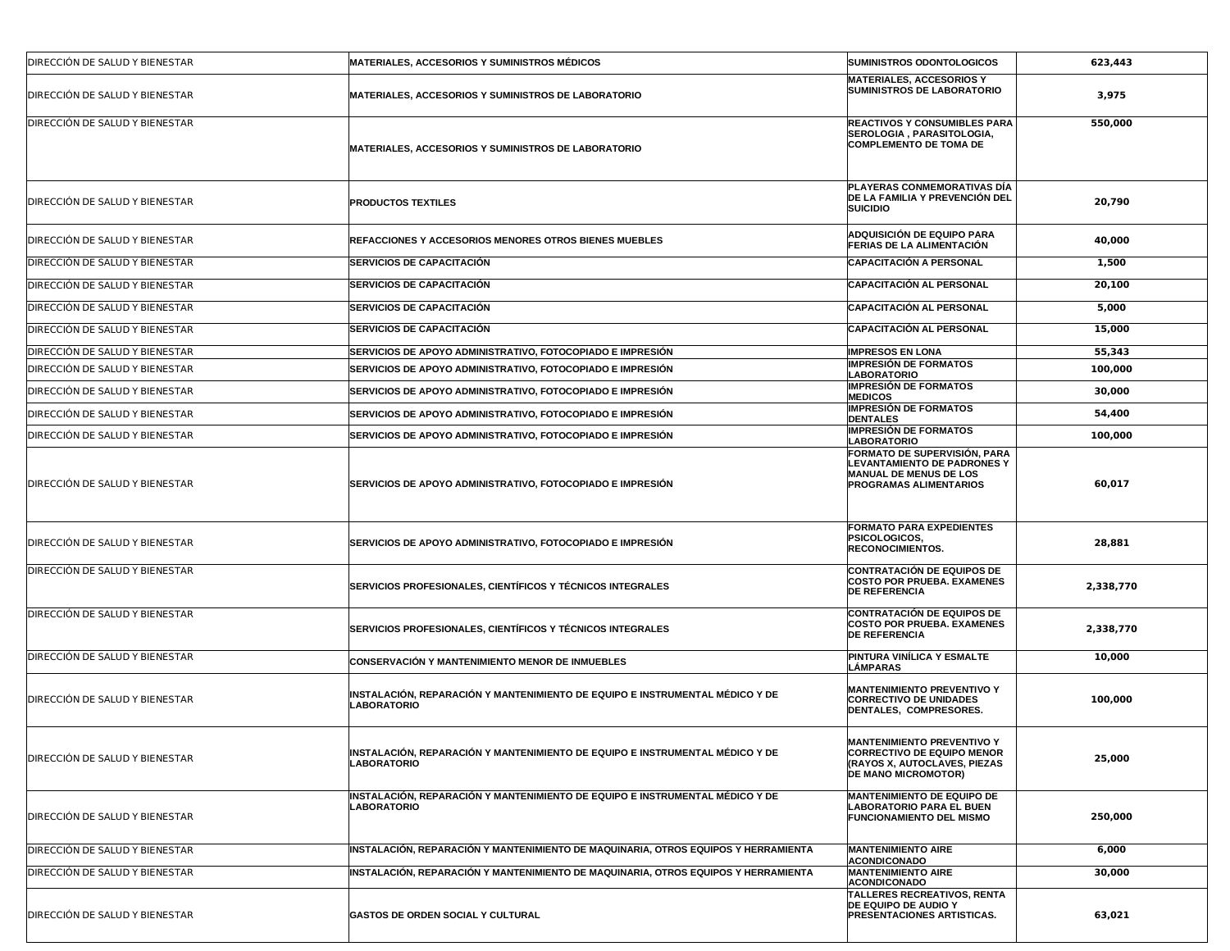| DIRECCIÓN DE SALUD Y BIENESTAR | <b>MATERIALES, ACCESORIOS Y SUMINISTROS MÉDICOS</b>                                                | SUMINISTROS ODONTOLOGICOS                                                                                                            | 623,443   |
|--------------------------------|----------------------------------------------------------------------------------------------------|--------------------------------------------------------------------------------------------------------------------------------------|-----------|
| DIRECCIÓN DE SALUD Y BIENESTAR | MATERIALES, ACCESORIOS Y SUMINISTROS DE LABORATORIO                                                | <b>MATERIALES, ACCESORIOS Y</b><br>SUMINISTROS DE LABORATORIO                                                                        | 3,975     |
| DIRECCIÓN DE SALUD Y BIENESTAR | MATERIALES, ACCESORIOS Y SUMINISTROS DE LABORATORIO                                                | <b>REACTIVOS Y CONSUMIBLES PARA</b><br>SEROLOGIA, PARASITOLOGIA,<br><b>COMPLEMENTO DE TOMA DE</b>                                    | 550,000   |
| DIRECCIÓN DE SALUD Y BIENESTAR | <b>PRODUCTOS TEXTILES</b>                                                                          | PLAYERAS CONMEMORATIVAS DÍA<br>DE LA FAMILIA Y PREVENCIÓN DEL<br><b>SUICIDIO</b>                                                     | 20,790    |
| DIRECCIÓN DE SALUD Y BIENESTAR | <b>REFACCIONES Y ACCESORIOS MENORES OTROS BIENES MUEBLES</b>                                       | ADQUISICIÓN DE EQUIPO PARA<br>FERIAS DE LA ALIMENTACIÓN                                                                              | 40,000    |
| DIRECCIÓN DE SALUD Y BIENESTAR | <b>SERVICIOS DE CAPACITACIÓN</b>                                                                   | <b>CAPACITACIÓN A PERSONAL</b>                                                                                                       | 1,500     |
| DIRECCIÓN DE SALUD Y BIENESTAR | <b>SERVICIOS DE CAPACITACIÓN</b>                                                                   | <b>CAPACITACIÓN AL PERSONAL</b>                                                                                                      | 20,100    |
| DIRECCIÓN DE SALUD Y BIENESTAR | <b>SERVICIOS DE CAPACITACIÓN</b>                                                                   | <b>CAPACITACIÓN AL PERSONAL</b>                                                                                                      | 5,000     |
| DIRECCIÓN DE SALUD Y BIENESTAR | <b>SERVICIOS DE CAPACITACIÓN</b>                                                                   | <b>CAPACITACIÓN AL PERSONAL</b>                                                                                                      | 15,000    |
| DIRECCIÓN DE SALUD Y BIENESTAR | SERVICIOS DE APOYO ADMINISTRATIVO, FOTOCOPIADO E IMPRESIÓN                                         | <b>IMPRESOS EN LONA</b>                                                                                                              | 55,343    |
| DIRECCIÓN DE SALUD Y BIENESTAR | SERVICIOS DE APOYO ADMINISTRATIVO, FOTOCOPIADO E IMPRESIÓN                                         | <b>IMPRESIÓN DE FORMATOS</b><br><b>LABORATORIO</b>                                                                                   | 100,000   |
| DIRECCIÓN DE SALUD Y BIENESTAR | SERVICIOS DE APOYO ADMINISTRATIVO, FOTOCOPIADO E IMPRESIÓN                                         | <b>IMPRESIÓN DE FORMATOS</b><br><b>MEDICOS</b>                                                                                       | 30,000    |
| DIRECCIÓN DE SALUD Y BIENESTAR | SERVICIOS DE APOYO ADMINISTRATIVO, FOTOCOPIADO E IMPRESIÓN                                         | <b>IMPRESIÓN DE FORMATOS</b><br><b>DENTALES</b>                                                                                      | 54,400    |
| DIRECCIÓN DE SALUD Y BIENESTAR | SERVICIOS DE APOYO ADMINISTRATIVO, FOTOCOPIADO E IMPRESIÓN                                         | <b>IMPRESIÓN DE FORMATOS</b><br>LABORATORIO                                                                                          | 100,000   |
| DIRECCIÓN DE SALUD Y BIENESTAR | SERVICIOS DE APOYO ADMINISTRATIVO, FOTOCOPIADO E IMPRESIÓN                                         | FORMATO DE SUPERVISIÓN, PARA<br><b>LEVANTAMIENTO DE PADRONES Y</b><br>MANUAL DE MENUS DE LOS<br><b>PROGRAMAS ALIMENTARIOS</b>        | 60,017    |
| DIRECCIÓN DE SALUD Y BIENESTAR | SERVICIOS DE APOYO ADMINISTRATIVO, FOTOCOPIADO E IMPRESIÓN                                         | <b>FORMATO PARA EXPEDIENTES</b><br>PSICOLOGICOS,<br><b>RECONOCIMIENTOS.</b>                                                          | 28,881    |
| DIRECCIÓN DE SALUD Y BIENESTAR | SERVICIOS PROFESIONALES, CIENTÍFICOS Y TÉCNICOS INTEGRALES                                         | <b>CONTRATACIÓN DE EQUIPOS DE</b><br><b>COSTO POR PRUEBA. EXAMENES</b><br><b>DE REFERENCIA</b>                                       | 2,338,770 |
| DIRECCIÓN DE SALUD Y BIENESTAR | SERVICIOS PROFESIONALES, CIENTÍFICOS Y TÉCNICOS INTEGRALES                                         | <b>CONTRATACIÓN DE EQUIPOS DE</b><br><b>COSTO POR PRUEBA. EXAMENES</b><br><b>DE REFERENCIA</b>                                       | 2,338,770 |
| DIRECCIÓN DE SALUD Y BIENESTAR | CONSERVACIÓN Y MANTENIMIENTO MENOR DE INMUEBLES                                                    | PINTURA VINÍLICA Y ESMALTE<br><b>LÁMPARAS</b>                                                                                        | 10,000    |
| DIRECCIÓN DE SALUD Y BIENESTAR | INSTALACIÓN, REPARACIÓN Y MANTENIMIENTO DE EQUIPO E INSTRUMENTAL MÉDICO Y DE<br><b>LABORATORIO</b> | MANTENIMIENTO PREVENTIVO Y<br><b>CORRECTIVO DE UNIDADES</b><br>DENTALES, COMPRESORES.                                                | 100,000   |
| DIRECCIÓN DE SALUD Y BIENESTAR | INSTALACIÓN, REPARACIÓN Y MANTENIMIENTO DE EQUIPO E INSTRUMENTAL MÉDICO Y DE<br><b>LABORATORIO</b> | <b>MANTENIMIENTO PREVENTIVO Y</b><br><b>CORRECTIVO DE EQUIPO MENOR</b><br>(RAYOS X, AUTOCLAVES, PIEZAS<br><b>DE MANO MICROMOTOR)</b> | 25,000    |
| DIRECCIÓN DE SALUD Y BIENESTAR | INSTALACIÓN, REPARACIÓN Y MANTENIMIENTO DE EQUIPO E INSTRUMENTAL MÉDICO Y DE<br><b>LABORATORIO</b> | MANTENIMIENTO DE EQUIPO DE<br><b>LABORATORIO PARA EL BUEN</b><br><b>FUNCIONAMIENTO DEL MISMO</b>                                     | 250,000   |
| DIRECCIÓN DE SALUD Y BIENESTAR | INSTALACIÓN, REPARACIÓN Y MANTENIMIENTO DE MAQUINARIA, OTROS EQUIPOS Y HERRAMIENTA                 | <b>MANTENIMIENTO AIRE</b><br><b>ACONDICONADO</b>                                                                                     | 6,000     |
| DIRECCIÓN DE SALUD Y BIENESTAR | INSTALACIÓN, REPARACIÓN Y MANTENIMIENTO DE MAQUINARIA, OTROS EQUIPOS Y HERRAMIENTA                 | <b>MANTENIMIENTO AIRE</b><br><b>ACONDICONADO</b>                                                                                     | 30,000    |
| DIRECCIÓN DE SALUD Y BIENESTAR | <b>GASTOS DE ORDEN SOCIAL Y CULTURAL</b>                                                           | TALLERES RECREATIVOS, RENTA<br>DE EQUIPO DE AUDIO Y<br><b>PRESENTACIONES ARTISTICAS.</b>                                             | 63,021    |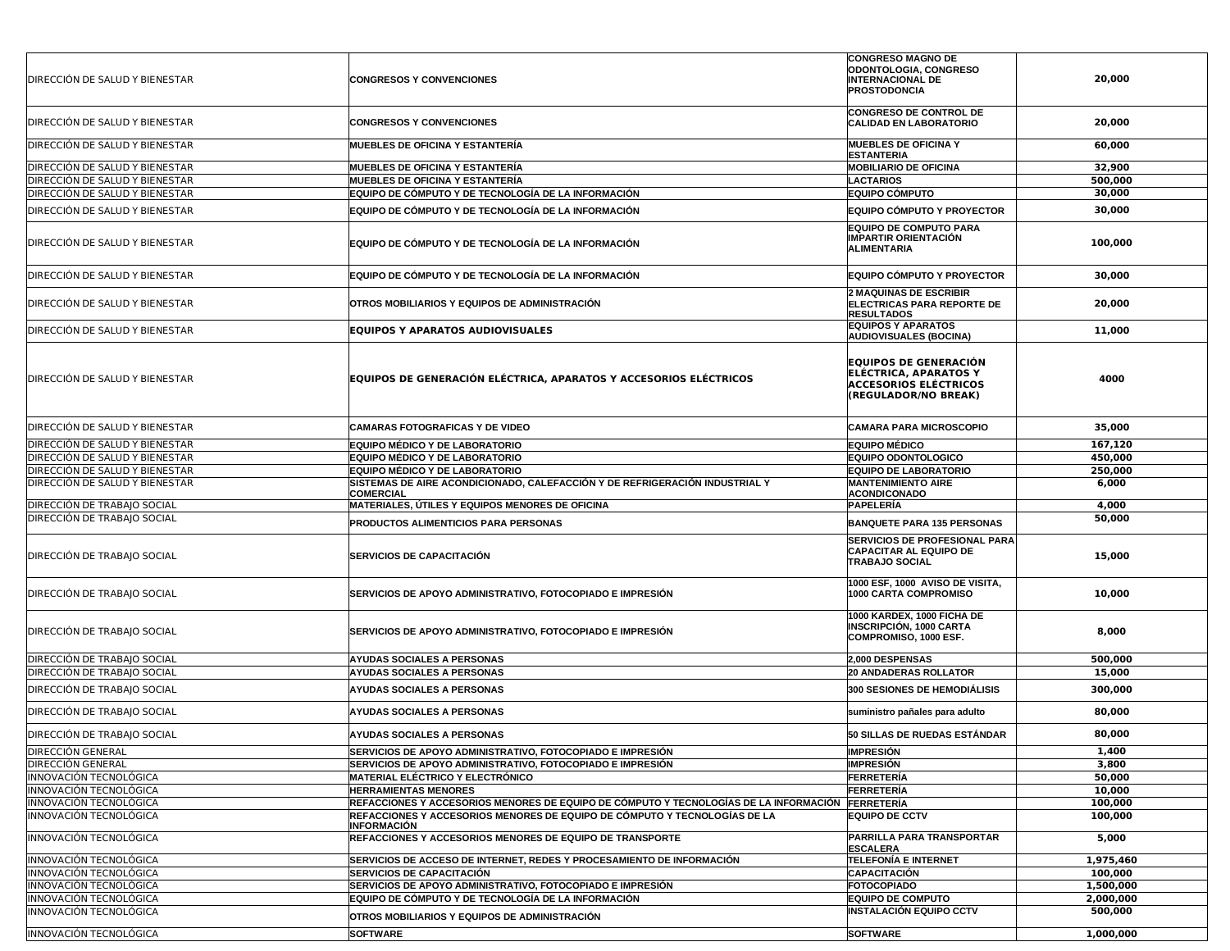| DIRECCION DE SALUD Y BIENESTAR | <b>CONGRESOS Y CONVENCIONES</b>                                                                  | <b>CONGRESO MAGNO DE</b><br>ODONTOLOGIA, CONGRESO<br><b>INTERNACIONAL DE</b><br><b>PROSTODONCIA</b>                  | 20,000    |
|--------------------------------|--------------------------------------------------------------------------------------------------|----------------------------------------------------------------------------------------------------------------------|-----------|
| DIRECCION DE SALUD Y BIENESTAR | <b>CONGRESOS Y CONVENCIONES</b>                                                                  | <b>CONGRESO DE CONTROL DE</b><br><b>CALIDAD EN LABORATORIO</b>                                                       | 20,000    |
| DIRECCIÓN DE SALUD Y BIENESTAR | <b>MUEBLES DE OFICINA Y ESTANTERÍA</b>                                                           | MUEBLES DE OFICINA Y<br><b>ESTANTERIA</b>                                                                            | 60,000    |
| DIRECCIÓN DE SALUD Y BIENESTAR | <b>MUEBLES DE OFICINA Y ESTANTERÍA</b>                                                           | <b>MOBILIARIO DE OFICINA</b>                                                                                         | 32,900    |
| DIRECCIÓN DE SALUD Y BIENESTAR | <b>MUEBLES DE OFICINA Y ESTANTERÍA</b>                                                           | <b>LACTARIOS</b>                                                                                                     | 500,000   |
| DIRECCIÓN DE SALUD Y BIENESTAR | EQUIPO DE CÓMPUTO Y DE TECNOLOGÍA DE LA INFORMACIÓN                                              | <b>EQUIPO CÓMPUTO</b>                                                                                                | 30,000    |
| DIRECCIÓN DE SALUD Y BIENESTAR | EQUIPO DE CÓMPUTO Y DE TECNOLOGÍA DE LA INFORMACIÓN                                              | <b>EQUIPO CÓMPUTO Y PROYECTOR</b>                                                                                    | 30,000    |
|                                |                                                                                                  | <b>EQUIPO DE COMPUTO PARA</b>                                                                                        |           |
| DIRECCION DE SALUD Y BIENESTAR | EQUIPO DE CÓMPUTO Y DE TECNOLOGÍA DE LA INFORMACIÓN                                              | <b>IMPARTIR ORIENTACIÓN</b><br><b>ALIMENTARIA</b>                                                                    | 100,000   |
| DIRECCIÓN DE SALUD Y BIENESTAR | EQUIPO DE CÓMPUTO Y DE TECNOLOGÍA DE LA INFORMACIÓN                                              | <b>EQUIPO CÓMPUTO Y PROYECTOR</b>                                                                                    | 30,000    |
| DIRECCIÓN DE SALUD Y BIENESTAR | OTROS MOBILIARIOS Y EQUIPOS DE ADMINISTRACIÓN                                                    | 2 MAQUINAS DE ESCRIBIR<br><b>ELECTRICAS PARA REPORTE DE</b><br><b>RESULTADOS</b>                                     | 20,000    |
| DIRECCIÓN DE SALUD Y BIENESTAR | <b>EQUIPOS Y APARATOS AUDIOVISUALES</b>                                                          | <b>EQUIPOS Y APARATOS</b><br><b>AUDIOVISUALES (BOCINA)</b>                                                           | 11,000    |
| DIRECCIÓN DE SALUD Y BIENESTAR | <b>EQUIPOS DE GENERACIÓN ELÉCTRICA, APARATOS Y ACCESORIOS ELÉCTRICOS</b>                         | <b>EQUIPOS DE GENERACIÓN</b><br><b>ELÉCTRICA, APARATOS Y</b><br><b>ACCESORIOS ELÉCTRICOS</b><br>(REGULADOR/NO BREAK) | 4000      |
| DIRECCIÓN DE SALUD Y BIENESTAR | <b>CAMARAS FOTOGRAFICAS Y DE VIDEO</b>                                                           | <b>CAMARA PARA MICROSCOPIO</b>                                                                                       | 35,000    |
| DIRECCIÓN DE SALUD Y BIENESTAR | <b>EQUIPO MÉDICO Y DE LABORATORIO</b>                                                            | <b>EQUIPO MÉDICO</b>                                                                                                 | 167,120   |
| DIRECCIÓN DE SALUD Y BIENESTAR | <b>EQUIPO MÉDICO Y DE LABORATORIO</b>                                                            | EQUIPO ODONTOLOGICO                                                                                                  | 450,000   |
| DIRECCIÓN DE SALUD Y BIENESTAR | EQUIPO MÉDICO Y DE LABORATORIO                                                                   | <b>EQUIPO DE LABORATORIO</b>                                                                                         | 250,000   |
| DIRECCIÓN DE SALUD Y BIENESTAR | SISTEMAS DE AIRE ACONDICIONADO, CALEFACCIÓN Y DE REFRIGERACIÓN INDUSTRIAL Y<br><b>COMERCIAL</b>  | <b>MANTENIMIENTO AIRE</b><br><b>ACONDICONADO</b>                                                                     | 6,000     |
| DIRECCIÓN DE TRABAJO SOCIAL    | MATERIALES, ÚTILES Y EQUIPOS MENORES DE OFICINA                                                  | PAPELERÍA                                                                                                            | 4,000     |
| DIRECCIÓN DE TRABAJO SOCIAL    | <b>PRODUCTOS ALIMENTICIOS PARA PERSONAS</b>                                                      | <b>BANQUETE PARA 135 PERSONAS</b>                                                                                    | 50,000    |
| DIRECCIÓN DE TRABAJO SOCIAL    | <b>SERVICIOS DE CAPACITACIÓN</b>                                                                 | <b>SERVICIOS DE PROFESIONAL PARA</b><br><b>CAPACITAR AL EQUIPO DE</b><br><b>TRABAJO SOCIAL</b>                       | 15,000    |
| DIRECCIÓN DE TRABAJO SOCIAL    | SERVICIOS DE APOYO ADMINISTRATIVO, FOTOCOPIADO E IMPRESIÓN                                       | 1000 ESF, 1000 AVISO DE VISITA,<br>1000 CARTA COMPROMISO                                                             | 10,000    |
| DIRECCIÓN DE TRABAJO SOCIAL    | <b>SERVICIOS DE APOYO ADMINISTRATIVO, FOTOCOPIADO E IMPRESIÓN</b>                                | 1000 KARDEX, 1000 FICHA DE<br><b>INSCRIPCIÓN, 1000 CARTA</b><br>COMPROMISO, 1000 ESF.                                | 8,000     |
| DIRECCIÓN DE TRABAJO SOCIAL    | <b>AYUDAS SOCIALES A PERSONAS</b>                                                                | 2,000 DESPENSAS                                                                                                      | 500,000   |
| DIRECCIÓN DE TRABAJO SOCIAL    | <b>AYUDAS SOCIALES A PERSONAS</b>                                                                | <b>20 ANDADERAS ROLLATOR</b>                                                                                         | 15,000    |
| DIRECCIÓN DE TRABAJO SOCIAL    | <b>AYUDAS SOCIALES A PERSONAS</b>                                                                | 300 SESIONES DE HEMODIÁLISIS                                                                                         | 300,000   |
| DIRECCIÓN DE TRABAJO SOCIAL    | AYUDAS SOCIALES A PERSONAS                                                                       | suministro pañales para adulto                                                                                       | 80,000    |
| DIRECCIÓN DE TRABAJO SOCIAL    | <b>AYUDAS SOCIALES A PERSONAS</b>                                                                | 50 SILLAS DE RUEDAS ESTÁNDAR                                                                                         | 80,000    |
| <b>DIRECCION GENERAL</b>       | <b>SERVICIOS DE APOYO ADMINISTRATIVO, FOTOCOPIADO E IMPRESIÓN</b>                                | <b>IMPRESIÓN</b>                                                                                                     | 1,400     |
| <b>DIRECCIÓN GENERAL</b>       | SERVICIOS DE APOYO ADMINISTRATIVO, FOTOCOPIADO E IMPRESIÓN                                       | <b>IMPRESIÓN</b>                                                                                                     | 3,800     |
| INNOVACIÓN TECNOLÓGICA         | <b>MATERIAL ELÉCTRICO Y ELECTRÓNICO</b>                                                          | FERRETERÍA                                                                                                           | 50,000    |
| INNOVACIÓN TECNOLÓGICA         | <b>HERRAMIENTAS MENORES</b>                                                                      | FERRETERÍA                                                                                                           | 10,000    |
| INNOVACIÓN TECNOLÓGICA         | REFACCIONES Y ACCESORIOS MENORES DE EQUIPO DE CÓMPUTO Y TECNOLOGÍAS DE LA INFORMACIÓN FERRETERÍA |                                                                                                                      | 100,000   |
| INNOVACIÓN TECNOLÓGICA         | REFACCIONES Y ACCESORIOS MENORES DE EQUIPO DE CÓMPUTO Y TECNOLOGÍAS DE LA<br>INFORMACIÓN         | <b>EQUIPO DE CCTV</b>                                                                                                | 100,000   |
| INNOVACIÓN TECNOLÓGICA         | <b>REFACCIONES Y ACCESORIOS MENORES DE EQUIPO DE TRANSPORTE</b>                                  | PARRILLA PARA TRANSPORTAR<br><b>ESCALERA</b>                                                                         | 5,000     |
| INNOVACIÓN TECNOLÓGICA         | SERVICIOS DE ACCESO DE INTERNET, REDES Y PROCESAMIENTO DE INFORMACIÓN                            | <b>TELEFONÍA E INTERNET</b>                                                                                          | 1,975,460 |
| INNOVACIÓN TECNOLÓGICA         | <b>SERVICIOS DE CAPACITACIÓN</b>                                                                 | <b>CAPACITACIÓN</b>                                                                                                  | 100,000   |
| INNOVACIÓN TECNOLÓGICA         | SERVICIOS DE APOYO ADMINISTRATIVO, FOTOCOPIADO E IMPRESIÓN                                       | <b>FOTOCOPIADO</b>                                                                                                   | 1,500,000 |
| INNOVACIÓN TECNOLÓGICA         | EQUIPO DE CÓMPUTO Y DE TECNOLOGÍA DE LA INFORMACIÓN                                              | <b>EQUIPO DE COMPUTO</b>                                                                                             | 2,000,000 |
| INNOVACIÓN TECNOLÓGICA         | OTROS MOBILIARIOS Y EQUIPOS DE ADMINISTRACIÓN                                                    | <b>INSTALACIÓN EQUIPO CCTV</b>                                                                                       | 500,000   |
| INNOVACIÓN TECNOLÓGICA         | <b>SOFTWARE</b>                                                                                  | <b>SOFTWARE</b>                                                                                                      | 1,000,000 |